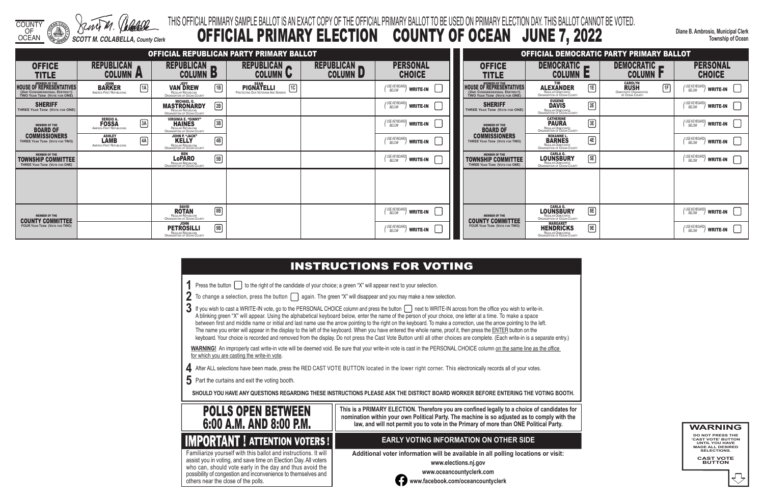COUNTY

OF OCEAN *SCOTT M. COLABELLA, County Clerk* **Diane B. Ambrosio, Municipal Clerk Township of Ocean**

- 
- 
- 
- 

## THIS OFFICIAL PRIMARY SAMPLE BALLOT IS AN EXACT COPY OF THE OFFICIAL PRIMARY BALLOT TO BE USED ON PRIMARY ELECTION DAY. THIS BALLOT CANNOT BE VOTED. OFFICIAL PRIMARY ELECTION COUNTY OF OCEAN JUNE 7, 2022

3 If you wish to cast a WRITE-IN vote, go to the PERSONAL CHOICE column and press the button next to WRITE-IN across from the office you wish to write-in. A blinking green "X" will appear. Using the alphabetical keyboard below, enter the name of the person of your choice, one letter at a time. To make a space between first and middle name or initial and last name use the arrow pointing to the right on the keyboard. To make a correction, use the arrow pointing to the left. The name you enter will appear in the display to the left of the keyboard. When you have entered the whole name, proof it, then press the ENTER button on the keyboard. Your choice is recorded and removed from the display. Do not press the Cast Vote Button until all other choices are complete. (Each write-in is a separate entry.)

WARNING! An improperly cast write-in vote will be deemed void. Be sure that your write-in vote is cast in the PERSONAL CHOICE column on the same line as the office for which you are casting the write-in vote.

**4** After ALL selections have been made, press the RED CAST VOTE BUTTON located in the lower right corner. This electronically records all of your votes.

**5** Part the curtains and exit the voting booth.

**SHOULD YOU HAVE ANY QUESTIONS REGARDING THESE INSTRUCTIONS PLEASE ASK THE DISTRICT BOARD WORKER BEFORE ENTERING THE VOTING BOOTH.**

**This is a PRIMARY ELECTION. Therefore you are confined legally to a choice of candidates for nomination within your own Political Party. The machine is so adjusted as to comply with the law, and will not permit you to vote in the Primary of more than ONE Political Party.**

Familiarize yourself with this ballot and instructions. It will

 assist you in voting, and save time on Election Day. All voters who can, should vote early in the day and thus avoid the possibility of congestion and inconvenience to themselves and others near the close of the polls.

### **EARLY VOTING INFORMATION ON OTHER SIDE**

**Additional voter information will be available in all polling locations or visit:**

**www.elections.nj.gov** 



**www.oceancountyclerk.com <sup>w</sup>ww.facebook.com/oceancountyclerk** **WARNING DO NOT PRESS THE** 

**'CAST VOTE' BUTTON UNTIL YOU HAVE MADE ALL DESIRED SELECTIONS.** 

**CAST VOTE BUTTON**



|                                                                                                           |                                                                               |                                                                                                                   | OFFICIAL REPUBLICAN PARTY PRIMARY BALLOT                       |                               |                                                                                   |                                                                                                        | <b>OFFICIAL DEMOCRATIC PARTY PRIMARY BALLOT</b>                                        |                                                                                                     |                                                                                                 |
|-----------------------------------------------------------------------------------------------------------|-------------------------------------------------------------------------------|-------------------------------------------------------------------------------------------------------------------|----------------------------------------------------------------|-------------------------------|-----------------------------------------------------------------------------------|--------------------------------------------------------------------------------------------------------|----------------------------------------------------------------------------------------|-----------------------------------------------------------------------------------------------------|-------------------------------------------------------------------------------------------------|
| <b>OFFICE</b><br><b>TITLE</b>                                                                             | <b>REPUBLICAN</b><br><b>COLUMN A</b>                                          | REPUBLICAN<br><b>COLUMN B</b>                                                                                     | REPUBLICAN<br><b>COLUMN U</b>                                  | REPUBLICAN<br><b>COLUMN D</b> | <b>PERSONAL</b><br><b>CHOICE</b>                                                  | <b>OFFICE</b><br><b>TITLE</b>                                                                          | DEMOCRATIC <b>P</b><br><b>COLUMN E</b>                                                 | DEMOCRATIC -<br><b>COLUMN P</b>                                                                     | <b>PERSONAL</b><br><b>CHOICE</b>                                                                |
| MEMBER OF THE<br>HOUSE OF REPRESENTATIVES<br>(2ND CONGRESSIONAL DISTRICT)<br>TWO YEAR TERM (VOTE FOR ONE) | JOHN<br>BARKER<br>AMERICA FIRST REPUBLICANS<br>$\sqrt{1A}$                    | <b>VAN DREW</b><br>$\boxed{1B}$<br>REGULAR REPUBLICAN<br>ORGANIZATION OF OCEAN COUNTY                             | 1C<br><b>PIGNATELLI</b><br>PROTECTING OUR VETERANS AND SENIORS |                               | $\binom{\text{USE KEYBOARD}}{\text{BELOW}}$ write-in                              | MEMBER OF THE HOUSE OF REPRESENTATIVES<br>(2ND CONGRESSIONAL DISTRICT)<br>TWO YEAR TERM (VOTE FOR ONE) | E<br><b>ALEXANDER</b><br>REGULAR DEMOCRATIC<br>ORGANIZATION OF OCEAN COUNTY            | <b>CAROLYN</b><br><b>RUSH</b><br>$\boxed{1F}$<br><b>DEMOCRATIC ORGANIZATION<br/>OF OCEAN COUNTY</b> | $( \text{USE KEYBOARD})$ WRITE-IN                                                               |
| <b>SHERIFF</b><br>THREE YEAR TERM (VOTE FOR ONE)                                                          |                                                                               | <b>MASTRONARDY</b><br>2B<br>REGULAR REPUBLICAN<br>ORGANIZATION OF OCEAN COUNTY                                    |                                                                |                               | $\binom{USE KEVBOARD}{BELOW}$ write-in                                            | <b>SHERIFF</b><br>THREE YEAR TERM (VOTE FOR ONE)                                                       | EUGENE<br>DAVIS<br>REGULAR DEMOCRATIC<br>ORGANIZATION OF OCEAN COUNTY<br>2E            |                                                                                                     | $\left(\begin{array}{cc} \n\text{USE KEYBOARD} \\ \text{BELOW}\n\end{array}\right)$ WRITE-IN    |
| MEMBER OF THE <b>BOARD OF</b>                                                                             | <b>SERGIO A.</b><br><b>FOSSA</b><br>$\boxed{3A}$<br>AMERICA FIRST REPUBLICANS | <b>VIRGINIA E. "GINNY"</b><br><b>HAINES</b><br>$\boxed{3B}$<br>REGULAR REPUBLICAN<br>ORGANIZATION OF OCEAN COUNTY |                                                                |                               | USE KEYBOARD)<br>BELOW<br>write-in                                                | <b>MEMBER OF THE</b><br><b>BOARD OF</b>                                                                | <b>CATHERINE</b><br>$\boxed{3E}$<br>REGULAR DEMOCRATIC<br>ORGANIZATION OF OCEAN COUNTY |                                                                                                     | (USE KEYBOARD)<br>BELOW<br>$\sim$ write-in $\Box$                                               |
| <b>COMMISSIONERS</b><br>THREE YEAR TERM (VOTE FOR TWO)                                                    | <b>ASHLEY</b><br><b>LAMB</b><br>4A<br>AMERICA FIRST REPUBLICANS               | <b>JOHN P. "JACK"</b><br>$\boxed{4B}$<br>REGULAR REPUBLICAN<br>ORGANIZATION OF OCEAN COUNTY                       |                                                                |                               | $\binom{USE KEVBOARD}{BELOW}$ write-in                                            | <b>COMMISSIONERS</b><br>THREE YEAR TERM (VOTE FOR TWO)                                                 | ROXANNE L.<br>BARNES<br>4E<br>REGULAR DEMOCRATIC<br>ORGANIZATION OF OCEAN COUNTY       |                                                                                                     | $\begin{pmatrix} \text{USE KEYBOARD} \\ \text{BELOW} \end{pmatrix}$ WRITE-IN                    |
| <b>MEMBER OF THE</b><br><b>TOWNSHIP COMMITTEE</b><br>THREE YEAR TERM (VOTE FOR ONE)                       |                                                                               | Lo <b>PARO</b><br>$\boxed{5B}$<br>REGULAR REPUBLICAN<br><b>ORGANIZATION OF OCFAN COUNTY</b>                       |                                                                |                               | (USE KEYBOARD)<br>BELOW<br>$\overset{\circ}{\mathbb{D}}$ write-in $\qquad \qquad$ | <b>MEMBER OF THE</b><br><b>TOWNSHIP COMMITTEE</b><br>THREE YEAR TERM (VOTE FOR ONE)                    | <b>CARLA G.<br/>LOUNSBURY</b><br>ORGANIZATION OF OCEAN COUNTY<br>E                     |                                                                                                     | (USE KEYBOARD)<br>BELOW<br>$\overset{\text{\tiny{KU}}}{\sim}$ write-in $\qquad \qquad$          |
|                                                                                                           |                                                                               |                                                                                                                   |                                                                |                               |                                                                                   |                                                                                                        |                                                                                        |                                                                                                     |                                                                                                 |
|                                                                                                           |                                                                               |                                                                                                                   |                                                                |                               |                                                                                   |                                                                                                        |                                                                                        |                                                                                                     |                                                                                                 |
| <b>MEMBER OF THE</b><br><b>COUNTY COMMITTEE</b>                                                           |                                                                               | <b>DAVID<br/>ROTAN<br/>REGULAR REPUBLICAN<br/>ORGANIZATION OF OCEAN COUNTY</b><br>$\boxed{8B}$                    |                                                                |                               | $\binom{USE KEVBOARD}{BELOW}$ write-in                                            | <b>MEMBER OF THE</b><br><b>COUNTY COMMITTEE</b>                                                        | LOUNSBURY<br>E<br>REGULAR DEMOCRATIC<br>ORGANIZATION OF OCEAN COUNTY                   |                                                                                                     | $\left(\begin{array}{cc} \n \text{USE KEYBOARD} \\  \text{BELOW}\n \end{array}\right)$ WRITE-IN |
| <b>FOUR YEAR TERM (VOTE FOR TWO)</b>                                                                      |                                                                               | <b>PETROSILLI</b><br>9B<br>REGULAR REPUBLICAN<br>Organization of Ocean County                                     |                                                                |                               | USE KEYBOARD)<br>BELOW<br>$\sim$ / write-in                                       | <b>FOUR YEAR TERM (VOTE FOR TWO)</b>                                                                   | <b>HENDRICKS</b><br>9E<br>REGULAR DEMOCRATIC<br>ORGANIZATION OF OCEAN COUNTY           |                                                                                                     | (USE KEYBOARD)<br>BELOW<br>WRITE-IN                                                             |

### **INSTRUCTIONS FOR VOTING**

**1** Press the button  $\Box$  to the right of the candidate of your choice; a green "X" will appear next to your selection.

2 To change a selection, press the button  $\Box$  again. The green "X" will disappear and you may make a new selection.